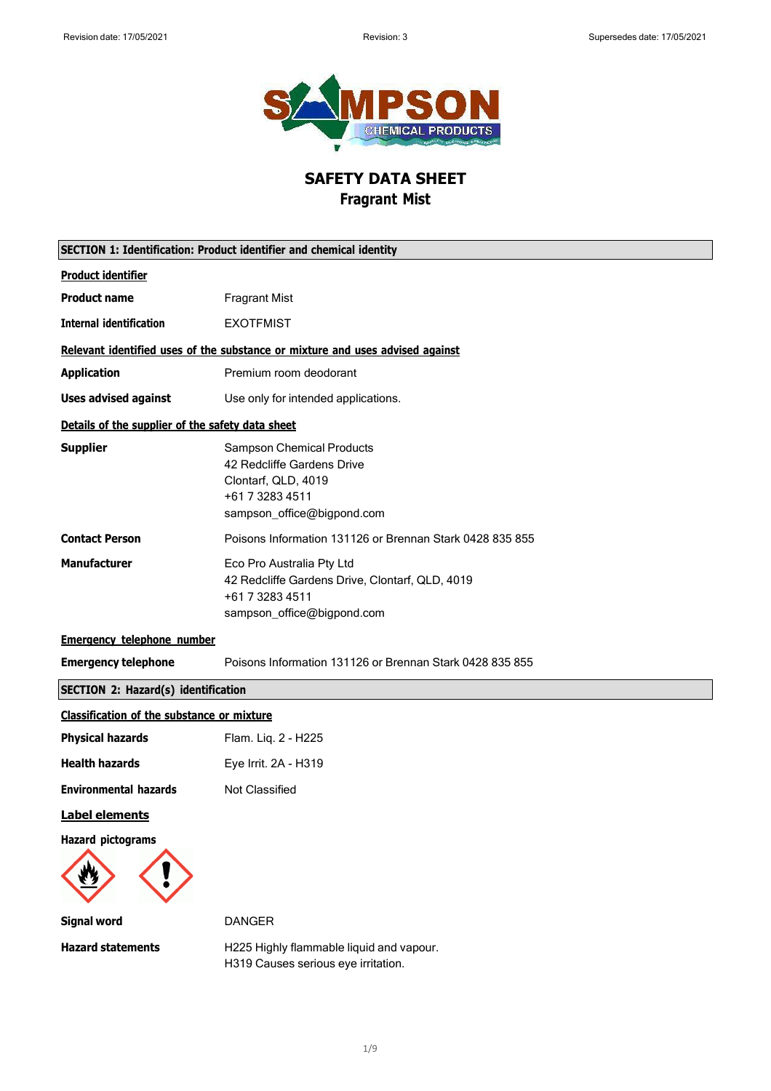

# **SAFETY DATA SHEET Fragrant Mist**

| <b>SECTION 1: Identification: Product identifier and chemical identity</b> |                                                                                                                                        |  |
|----------------------------------------------------------------------------|----------------------------------------------------------------------------------------------------------------------------------------|--|
| <b>Product identifier</b>                                                  |                                                                                                                                        |  |
| <b>Product name</b>                                                        | <b>Fragrant Mist</b>                                                                                                                   |  |
| <b>Internal identification</b>                                             | <b>EXOTFMIST</b>                                                                                                                       |  |
|                                                                            | Relevant identified uses of the substance or mixture and uses advised against                                                          |  |
| <b>Application</b>                                                         | Premium room deodorant                                                                                                                 |  |
| <b>Uses advised against</b>                                                | Use only for intended applications.                                                                                                    |  |
| Details of the supplier of the safety data sheet                           |                                                                                                                                        |  |
| <b>Supplier</b>                                                            | <b>Sampson Chemical Products</b><br>42 Redcliffe Gardens Drive<br>Clontarf, QLD, 4019<br>+61 7 3283 4511<br>sampson_office@bigpond.com |  |
| <b>Contact Person</b>                                                      | Poisons Information 131126 or Brennan Stark 0428 835 855                                                                               |  |
| <b>Manufacturer</b>                                                        | Eco Pro Australia Pty Ltd<br>42 Redcliffe Gardens Drive, Clontarf, QLD, 4019<br>+61 7 3283 4511<br>sampson_office@bigpond.com          |  |
| <b>Emergency telephone number</b>                                          |                                                                                                                                        |  |
| <b>Emergency telephone</b>                                                 | Poisons Information 131126 or Brennan Stark 0428 835 855                                                                               |  |
| SECTION 2: Hazard(s) identification                                        |                                                                                                                                        |  |
| <b>Classification of the substance or mixture</b>                          |                                                                                                                                        |  |
| <b>Physical hazards</b>                                                    | Flam. Liq. 2 - H225                                                                                                                    |  |
| <b>Health hazards</b>                                                      | Eye Irrit. 2A - H319                                                                                                                   |  |
| <b>Environmental hazards</b>                                               | Not Classified                                                                                                                         |  |
| <b>Label elements</b>                                                      |                                                                                                                                        |  |
| <b>Hazard pictograms</b>                                                   |                                                                                                                                        |  |
| <b>Signal word</b>                                                         | <b>DANGER</b>                                                                                                                          |  |
| <b>Hazard statements</b>                                                   | H225 Highly flammable liquid and vapour.<br>H319 Causes serious eye irritation.                                                        |  |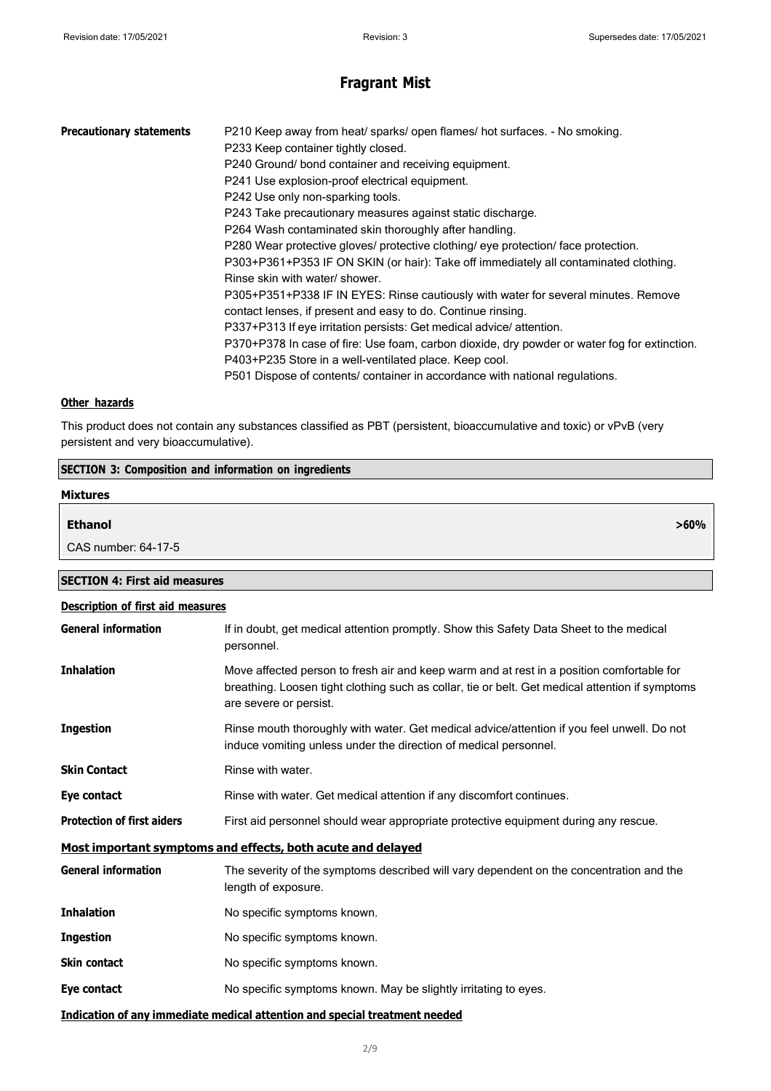| <b>Precautionary statements</b> | P210 Keep away from heat/ sparks/ open flames/ hot surfaces. - No smoking.                   |
|---------------------------------|----------------------------------------------------------------------------------------------|
|                                 | P233 Keep container tightly closed.                                                          |
|                                 | P240 Ground/ bond container and receiving equipment.                                         |
|                                 | P241 Use explosion-proof electrical equipment.                                               |
|                                 | P242 Use only non-sparking tools.                                                            |
|                                 | P243 Take precautionary measures against static discharge.                                   |
|                                 | P264 Wash contaminated skin thoroughly after handling.                                       |
|                                 | P280 Wear protective gloves/ protective clothing/ eye protection/ face protection.           |
|                                 | P303+P361+P353 IF ON SKIN (or hair): Take off immediately all contaminated clothing.         |
|                                 | Rinse skin with water/ shower.                                                               |
|                                 | P305+P351+P338 IF IN EYES: Rinse cautiously with water for several minutes. Remove           |
|                                 | contact lenses, if present and easy to do. Continue rinsing.                                 |
|                                 | P337+P313 If eye irritation persists: Get medical advice/attention.                          |
|                                 | P370+P378 In case of fire: Use foam, carbon dioxide, dry powder or water fog for extinction. |
|                                 | P403+P235 Store in a well-ventilated place. Keep cool.                                       |
|                                 | P501 Dispose of contents/ container in accordance with national regulations.                 |
|                                 |                                                                                              |

### **Other hazards**

This product does not contain any substances classified as PBT (persistent, bioaccumulative and toxic) or vPvB (very persistent and very bioaccumulative).

| <b>SECTION 3: Composition and information on ingredients</b> |         |  |
|--------------------------------------------------------------|---------|--|
| <b>Mixtures</b>                                              |         |  |
| <b>Ethanol</b>                                               | $>60\%$ |  |
| CAS number: 64-17-5                                          |         |  |

| <b>SECTION 4: First aid measures</b> |  |
|--------------------------------------|--|
|                                      |  |

| <b>Description of first aid measures</b>                    |                                                                                                                                                                                                                        |  |
|-------------------------------------------------------------|------------------------------------------------------------------------------------------------------------------------------------------------------------------------------------------------------------------------|--|
| <b>General information</b>                                  | If in doubt, get medical attention promptly. Show this Safety Data Sheet to the medical<br>personnel.                                                                                                                  |  |
| <b>Inhalation</b>                                           | Move affected person to fresh air and keep warm and at rest in a position comfortable for<br>breathing. Loosen tight clothing such as collar, tie or belt. Get medical attention if symptoms<br>are severe or persist. |  |
| <b>Ingestion</b>                                            | Rinse mouth thoroughly with water. Get medical advice/attention if you feel unwell. Do not<br>induce vomiting unless under the direction of medical personnel.                                                         |  |
| <b>Skin Contact</b>                                         | Rinse with water.                                                                                                                                                                                                      |  |
| Eye contact                                                 | Rinse with water. Get medical attention if any discomfort continues.                                                                                                                                                   |  |
| <b>Protection of first aiders</b>                           | First aid personnel should wear appropriate protective equipment during any rescue.                                                                                                                                    |  |
| Most important symptoms and effects, both acute and delayed |                                                                                                                                                                                                                        |  |
| <b>General information</b>                                  | The severity of the symptoms described will vary dependent on the concentration and the<br>length of exposure.                                                                                                         |  |
| <b>Inhalation</b>                                           | No specific symptoms known.                                                                                                                                                                                            |  |
| <b>Ingestion</b>                                            | No specific symptoms known.                                                                                                                                                                                            |  |
| <b>Skin contact</b>                                         | No specific symptoms known.                                                                                                                                                                                            |  |
| Eye contact                                                 | No specific symptoms known. May be slightly irritating to eyes.                                                                                                                                                        |  |
|                                                             | Indication of any immediate medical attention and special treatment needed                                                                                                                                             |  |

#### 2/9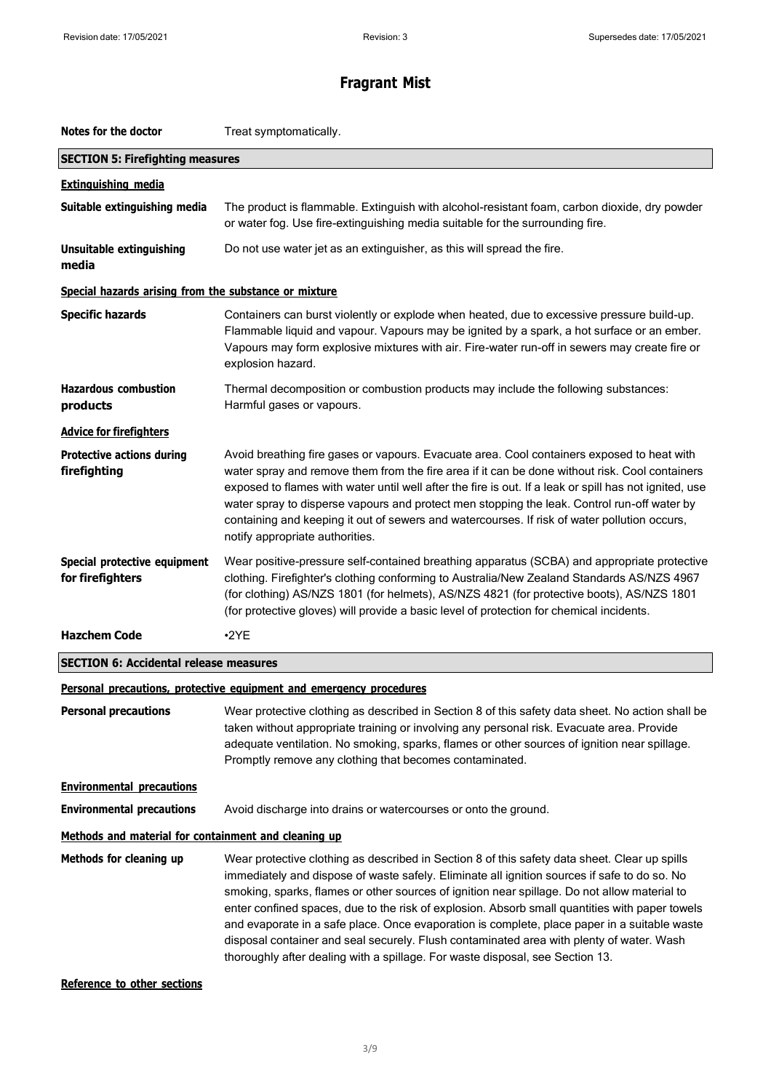| Notes for the doctor                                  | Treat symptomatically.                                                                                                                                                                                                                                                                                                                                                                                                                                                                                                                                                                                                                                                       |  |
|-------------------------------------------------------|------------------------------------------------------------------------------------------------------------------------------------------------------------------------------------------------------------------------------------------------------------------------------------------------------------------------------------------------------------------------------------------------------------------------------------------------------------------------------------------------------------------------------------------------------------------------------------------------------------------------------------------------------------------------------|--|
| <b>SECTION 5: Firefighting measures</b>               |                                                                                                                                                                                                                                                                                                                                                                                                                                                                                                                                                                                                                                                                              |  |
| <b>Extinguishing media</b>                            |                                                                                                                                                                                                                                                                                                                                                                                                                                                                                                                                                                                                                                                                              |  |
| Suitable extinguishing media                          | The product is flammable. Extinguish with alcohol-resistant foam, carbon dioxide, dry powder<br>or water fog. Use fire-extinguishing media suitable for the surrounding fire.                                                                                                                                                                                                                                                                                                                                                                                                                                                                                                |  |
| <b>Unsuitable extinguishing</b><br>media              | Do not use water jet as an extinguisher, as this will spread the fire.                                                                                                                                                                                                                                                                                                                                                                                                                                                                                                                                                                                                       |  |
| Special hazards arising from the substance or mixture |                                                                                                                                                                                                                                                                                                                                                                                                                                                                                                                                                                                                                                                                              |  |
| <b>Specific hazards</b>                               | Containers can burst violently or explode when heated, due to excessive pressure build-up.<br>Flammable liquid and vapour. Vapours may be ignited by a spark, a hot surface or an ember.<br>Vapours may form explosive mixtures with air. Fire-water run-off in sewers may create fire or<br>explosion hazard.                                                                                                                                                                                                                                                                                                                                                               |  |
| <b>Hazardous combustion</b><br>products               | Thermal decomposition or combustion products may include the following substances:<br>Harmful gases or vapours.                                                                                                                                                                                                                                                                                                                                                                                                                                                                                                                                                              |  |
| <b>Advice for firefighters</b>                        |                                                                                                                                                                                                                                                                                                                                                                                                                                                                                                                                                                                                                                                                              |  |
| <b>Protective actions during</b><br>firefighting      | Avoid breathing fire gases or vapours. Evacuate area. Cool containers exposed to heat with<br>water spray and remove them from the fire area if it can be done without risk. Cool containers<br>exposed to flames with water until well after the fire is out. If a leak or spill has not ignited, use<br>water spray to disperse vapours and protect men stopping the leak. Control run-off water by<br>containing and keeping it out of sewers and watercourses. If risk of water pollution occurs,<br>notify appropriate authorities.                                                                                                                                     |  |
| Special protective equipment<br>for firefighters      | Wear positive-pressure self-contained breathing apparatus (SCBA) and appropriate protective<br>clothing. Firefighter's clothing conforming to Australia/New Zealand Standards AS/NZS 4967<br>(for clothing) AS/NZS 1801 (for helmets), AS/NZS 4821 (for protective boots), AS/NZS 1801<br>(for protective gloves) will provide a basic level of protection for chemical incidents.                                                                                                                                                                                                                                                                                           |  |
| <b>Hazchem Code</b>                                   | $-2YE$                                                                                                                                                                                                                                                                                                                                                                                                                                                                                                                                                                                                                                                                       |  |
| <b>SECTION 6: Accidental release measures</b>         |                                                                                                                                                                                                                                                                                                                                                                                                                                                                                                                                                                                                                                                                              |  |
|                                                       | Personal precautions, protective equipment and emergency procedures                                                                                                                                                                                                                                                                                                                                                                                                                                                                                                                                                                                                          |  |
| <b>Personal precautions</b>                           | Wear protective clothing as described in Section 8 of this safety data sheet. No action shall be<br>taken without appropriate training or involving any personal risk. Evacuate area. Provide<br>adequate ventilation. No smoking, sparks, flames or other sources of ignition near spillage.<br>Promptly remove any clothing that becomes contaminated.                                                                                                                                                                                                                                                                                                                     |  |
| <b>Environmental precautions</b>                      |                                                                                                                                                                                                                                                                                                                                                                                                                                                                                                                                                                                                                                                                              |  |
| <b>Environmental precautions</b>                      | Avoid discharge into drains or watercourses or onto the ground.                                                                                                                                                                                                                                                                                                                                                                                                                                                                                                                                                                                                              |  |
| Methods and material for containment and cleaning up  |                                                                                                                                                                                                                                                                                                                                                                                                                                                                                                                                                                                                                                                                              |  |
| Methods for cleaning up                               | Wear protective clothing as described in Section 8 of this safety data sheet. Clear up spills<br>immediately and dispose of waste safely. Eliminate all ignition sources if safe to do so. No<br>smoking, sparks, flames or other sources of ignition near spillage. Do not allow material to<br>enter confined spaces, due to the risk of explosion. Absorb small quantities with paper towels<br>and evaporate in a safe place. Once evaporation is complete, place paper in a suitable waste<br>disposal container and seal securely. Flush contaminated area with plenty of water. Wash<br>thoroughly after dealing with a spillage. For waste disposal, see Section 13. |  |

### **Reference to other sections**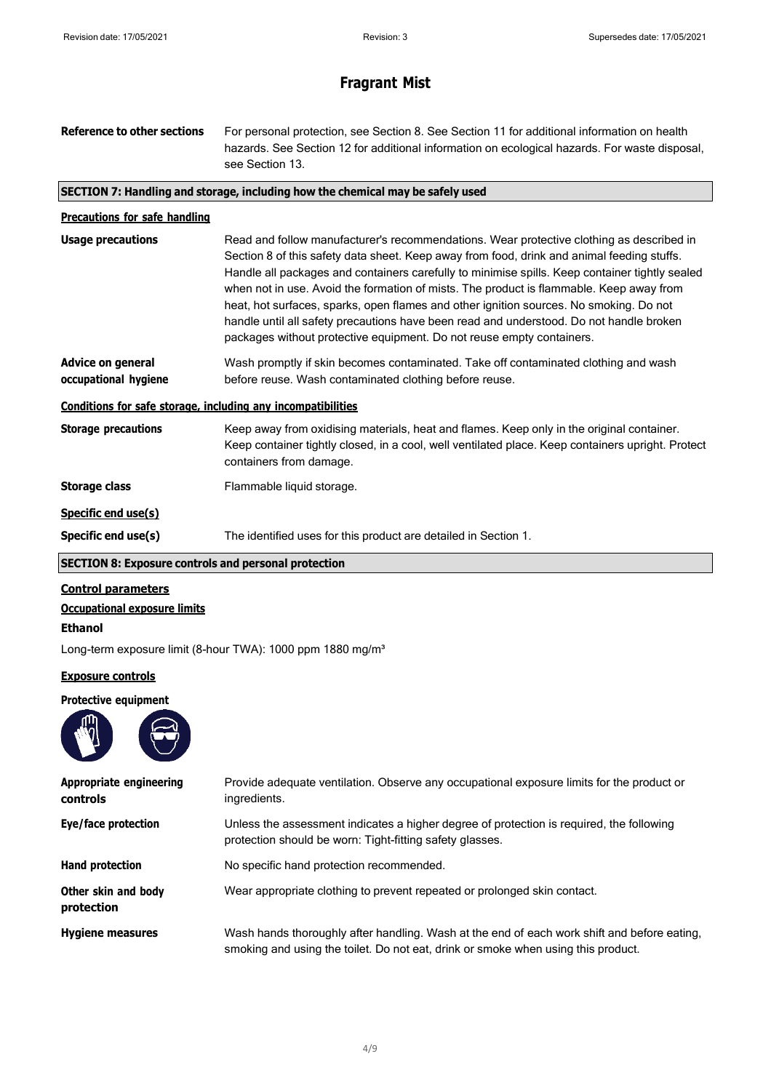| Reference to other sections                                  | For personal protection, see Section 8. See Section 11 for additional information on health<br>hazards. See Section 12 for additional information on ecological hazards. For waste disposal,<br>see Section 13.                                                                                                                                                                                                                                                                                                                                                                                                                                   |  |  |
|--------------------------------------------------------------|---------------------------------------------------------------------------------------------------------------------------------------------------------------------------------------------------------------------------------------------------------------------------------------------------------------------------------------------------------------------------------------------------------------------------------------------------------------------------------------------------------------------------------------------------------------------------------------------------------------------------------------------------|--|--|
|                                                              | SECTION 7: Handling and storage, including how the chemical may be safely used                                                                                                                                                                                                                                                                                                                                                                                                                                                                                                                                                                    |  |  |
| <b>Precautions for safe handling</b>                         |                                                                                                                                                                                                                                                                                                                                                                                                                                                                                                                                                                                                                                                   |  |  |
| <b>Usage precautions</b>                                     | Read and follow manufacturer's recommendations. Wear protective clothing as described in<br>Section 8 of this safety data sheet. Keep away from food, drink and animal feeding stuffs.<br>Handle all packages and containers carefully to minimise spills. Keep container tightly sealed<br>when not in use. Avoid the formation of mists. The product is flammable. Keep away from<br>heat, hot surfaces, sparks, open flames and other ignition sources. No smoking. Do not<br>handle until all safety precautions have been read and understood. Do not handle broken<br>packages without protective equipment. Do not reuse empty containers. |  |  |
| <b>Advice on general</b><br>occupational hygiene             | Wash promptly if skin becomes contaminated. Take off contaminated clothing and wash<br>before reuse. Wash contaminated clothing before reuse.                                                                                                                                                                                                                                                                                                                                                                                                                                                                                                     |  |  |
| Conditions for safe storage, including any incompatibilities |                                                                                                                                                                                                                                                                                                                                                                                                                                                                                                                                                                                                                                                   |  |  |
| <b>Storage precautions</b>                                   | Keep away from oxidising materials, heat and flames. Keep only in the original container.<br>Keep container tightly closed, in a cool, well ventilated place. Keep containers upright. Protect<br>containers from damage.                                                                                                                                                                                                                                                                                                                                                                                                                         |  |  |
| <b>Storage class</b>                                         | Flammable liquid storage.                                                                                                                                                                                                                                                                                                                                                                                                                                                                                                                                                                                                                         |  |  |
| Specific end use(s)                                          |                                                                                                                                                                                                                                                                                                                                                                                                                                                                                                                                                                                                                                                   |  |  |
| Specific end use(s)                                          | The identified uses for this product are detailed in Section 1.                                                                                                                                                                                                                                                                                                                                                                                                                                                                                                                                                                                   |  |  |
| <b>SECTION 8: Exposure controls and personal protection</b>  |                                                                                                                                                                                                                                                                                                                                                                                                                                                                                                                                                                                                                                                   |  |  |

### **Control parameters**

**Occupational exposure limits**

### **Ethanol**

Long-term exposure limit (8-hour TWA): 1000 ppm 1880 mg/m<sup>3</sup>

### **Exposure controls**

### **Protective equipment**



| <b>Appropriate engineering</b><br>controls | Provide adequate ventilation. Observe any occupational exposure limits for the product or<br>ingredients.                                                                        |  |
|--------------------------------------------|----------------------------------------------------------------------------------------------------------------------------------------------------------------------------------|--|
| Eye/face protection                        | Unless the assessment indicates a higher degree of protection is required, the following<br>protection should be worn: Tight-fitting safety glasses.                             |  |
| Hand protection                            | No specific hand protection recommended.                                                                                                                                         |  |
| Other skin and body<br>protection          | Wear appropriate clothing to prevent repeated or prolonged skin contact.                                                                                                         |  |
| <b>Hygiene measures</b>                    | Wash hands thoroughly after handling. Wash at the end of each work shift and before eating,<br>smoking and using the toilet. Do not eat, drink or smoke when using this product. |  |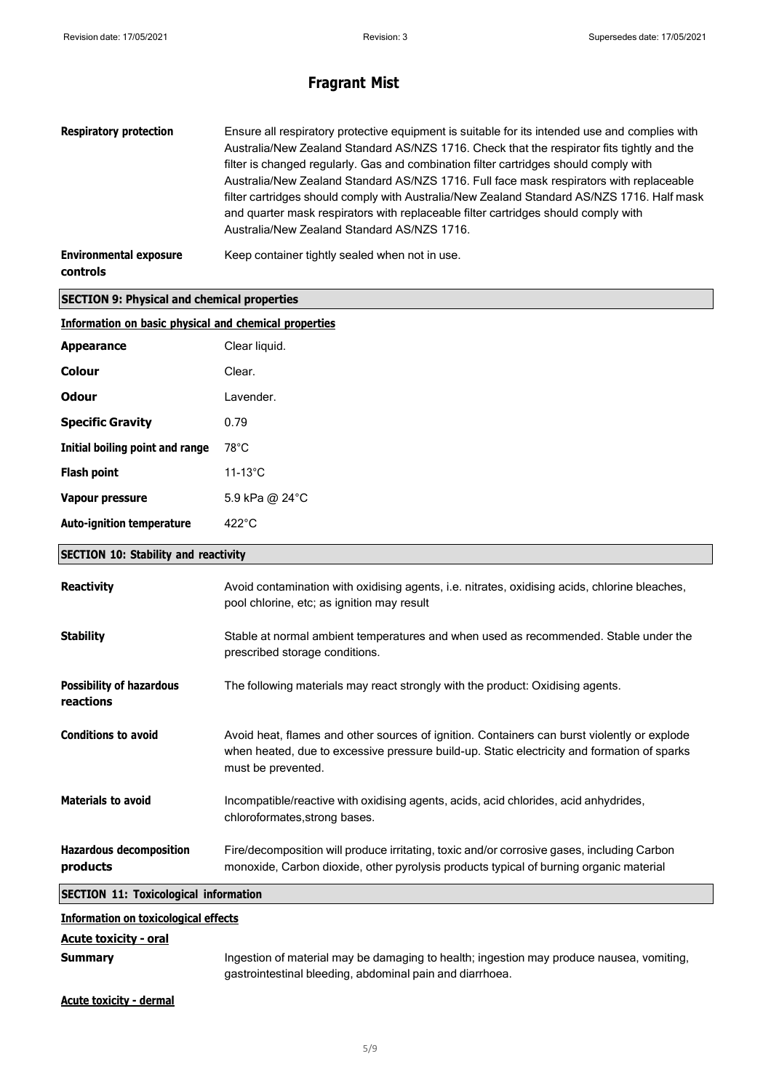| <b>Respiratory protection</b><br>Ensure all respiratory protective equipment is suitable for its intended use and complies with<br>Australia/New Zealand Standard AS/NZS 1716. Check that the respirator fits tightly and the<br>filter is changed regularly. Gas and combination filter cartridges should comply with<br>Australia/New Zealand Standard AS/NZS 1716. Full face mask respirators with replaceable<br>filter cartridges should comply with Australia/New Zealand Standard AS/NZS 1716. Half mask<br>and quarter mask respirators with replaceable filter cartridges should comply with<br>Australia/New Zealand Standard AS/NZS 1716. |                                                                                                                                                                                                                  |  |  |
|------------------------------------------------------------------------------------------------------------------------------------------------------------------------------------------------------------------------------------------------------------------------------------------------------------------------------------------------------------------------------------------------------------------------------------------------------------------------------------------------------------------------------------------------------------------------------------------------------------------------------------------------------|------------------------------------------------------------------------------------------------------------------------------------------------------------------------------------------------------------------|--|--|
| <b>Environmental exposure</b><br>controls                                                                                                                                                                                                                                                                                                                                                                                                                                                                                                                                                                                                            | Keep container tightly sealed when not in use.                                                                                                                                                                   |  |  |
| <b>SECTION 9: Physical and chemical properties</b>                                                                                                                                                                                                                                                                                                                                                                                                                                                                                                                                                                                                   |                                                                                                                                                                                                                  |  |  |
| <b>Information on basic physical and chemical properties</b>                                                                                                                                                                                                                                                                                                                                                                                                                                                                                                                                                                                         |                                                                                                                                                                                                                  |  |  |
| <b>Appearance</b>                                                                                                                                                                                                                                                                                                                                                                                                                                                                                                                                                                                                                                    | Clear liquid.                                                                                                                                                                                                    |  |  |
| <b>Colour</b>                                                                                                                                                                                                                                                                                                                                                                                                                                                                                                                                                                                                                                        | Clear.                                                                                                                                                                                                           |  |  |
| <b>Odour</b>                                                                                                                                                                                                                                                                                                                                                                                                                                                                                                                                                                                                                                         | Lavender.                                                                                                                                                                                                        |  |  |
| <b>Specific Gravity</b>                                                                                                                                                                                                                                                                                                                                                                                                                                                                                                                                                                                                                              | 0.79                                                                                                                                                                                                             |  |  |
| Initial boiling point and range                                                                                                                                                                                                                                                                                                                                                                                                                                                                                                                                                                                                                      | $78^{\circ}$ C                                                                                                                                                                                                   |  |  |
| <b>Flash point</b><br>$11-13^{\circ}$ C                                                                                                                                                                                                                                                                                                                                                                                                                                                                                                                                                                                                              |                                                                                                                                                                                                                  |  |  |
| Vapour pressure                                                                                                                                                                                                                                                                                                                                                                                                                                                                                                                                                                                                                                      | 5.9 kPa @ 24°C                                                                                                                                                                                                   |  |  |
| <b>Auto-ignition temperature</b>                                                                                                                                                                                                                                                                                                                                                                                                                                                                                                                                                                                                                     | 422°C                                                                                                                                                                                                            |  |  |
| <b>SECTION 10: Stability and reactivity</b>                                                                                                                                                                                                                                                                                                                                                                                                                                                                                                                                                                                                          |                                                                                                                                                                                                                  |  |  |
| <b>Reactivity</b>                                                                                                                                                                                                                                                                                                                                                                                                                                                                                                                                                                                                                                    | Avoid contamination with oxidising agents, i.e. nitrates, oxidising acids, chlorine bleaches,<br>pool chlorine, etc; as ignition may result                                                                      |  |  |
| <b>Stability</b>                                                                                                                                                                                                                                                                                                                                                                                                                                                                                                                                                                                                                                     | Stable at normal ambient temperatures and when used as recommended. Stable under the<br>prescribed storage conditions.                                                                                           |  |  |
| <b>Possibility of hazardous</b><br>reactions                                                                                                                                                                                                                                                                                                                                                                                                                                                                                                                                                                                                         | The following materials may react strongly with the product: Oxidising agents.                                                                                                                                   |  |  |
| <b>Conditions to avoid</b>                                                                                                                                                                                                                                                                                                                                                                                                                                                                                                                                                                                                                           | Avoid heat, flames and other sources of ignition. Containers can burst violently or explode<br>when heated, due to excessive pressure build-up. Static electricity and formation of sparks<br>must be prevented. |  |  |
| <b>Materials to avoid</b>                                                                                                                                                                                                                                                                                                                                                                                                                                                                                                                                                                                                                            | Incompatible/reactive with oxidising agents, acids, acid chlorides, acid anhydrides,<br>chloroformates, strong bases.                                                                                            |  |  |
| <b>Hazardous decomposition</b><br>products                                                                                                                                                                                                                                                                                                                                                                                                                                                                                                                                                                                                           | Fire/decomposition will produce irritating, toxic and/or corrosive gases, including Carbon<br>monoxide, Carbon dioxide, other pyrolysis products typical of burning organic material                             |  |  |
| <b>SECTION 11: Toxicological information</b>                                                                                                                                                                                                                                                                                                                                                                                                                                                                                                                                                                                                         |                                                                                                                                                                                                                  |  |  |
| <b>Information on toxicological effects</b>                                                                                                                                                                                                                                                                                                                                                                                                                                                                                                                                                                                                          |                                                                                                                                                                                                                  |  |  |
| <b>Acute toxicity - oral</b>                                                                                                                                                                                                                                                                                                                                                                                                                                                                                                                                                                                                                         |                                                                                                                                                                                                                  |  |  |
| <b>Summary</b>                                                                                                                                                                                                                                                                                                                                                                                                                                                                                                                                                                                                                                       | Ingestion of material may be damaging to health; ingestion may produce nausea, vomiting,<br>gastrointestinal bleeding, abdominal pain and diarrhoea.                                                             |  |  |

**Acute toxicity - dermal**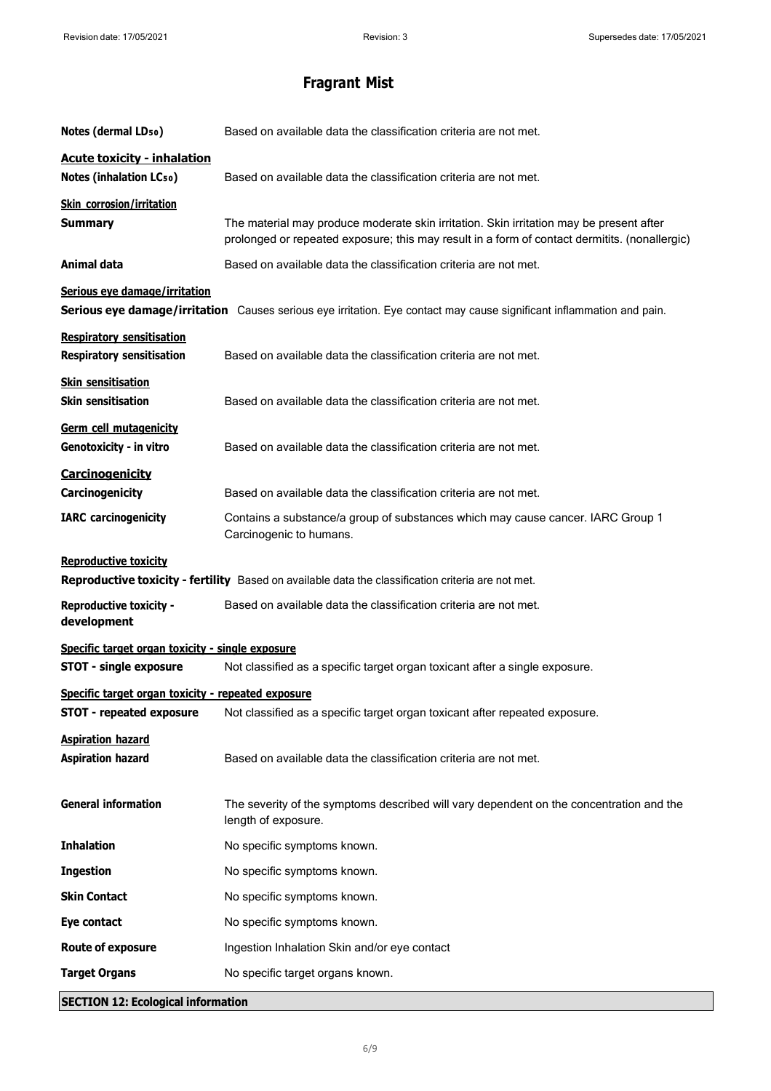| Notes (dermal LD <sub>50</sub> )                                                                                                   | Based on available data the classification criteria are not met.                                                                                                                         |  |
|------------------------------------------------------------------------------------------------------------------------------------|------------------------------------------------------------------------------------------------------------------------------------------------------------------------------------------|--|
| <b>Acute toxicity - inhalation</b><br><b>Notes (inhalation LCso)</b>                                                               | Based on available data the classification criteria are not met.                                                                                                                         |  |
| <b>Skin corrosion/irritation</b><br><b>Summary</b>                                                                                 | The material may produce moderate skin irritation. Skin irritation may be present after<br>prolonged or repeated exposure; this may result in a form of contact dermitits. (nonallergic) |  |
| Animal data                                                                                                                        | Based on available data the classification criteria are not met.                                                                                                                         |  |
| Serious eye damage/irritation                                                                                                      | Serious eye damage/irritation Causes serious eye irritation. Eye contact may cause significant inflammation and pain.                                                                    |  |
| <b>Respiratory sensitisation</b><br><b>Respiratory sensitisation</b>                                                               | Based on available data the classification criteria are not met.                                                                                                                         |  |
| <b>Skin sensitisation</b><br><b>Skin sensitisation</b>                                                                             | Based on available data the classification criteria are not met.                                                                                                                         |  |
| Germ cell mutagenicity<br>Genotoxicity - in vitro                                                                                  | Based on available data the classification criteria are not met.                                                                                                                         |  |
| Carcinogenicity<br>Carcinogenicity                                                                                                 | Based on available data the classification criteria are not met.                                                                                                                         |  |
| <b>IARC</b> carcinogenicity                                                                                                        | Contains a substance/a group of substances which may cause cancer. IARC Group 1<br>Carcinogenic to humans.                                                                               |  |
| <b>Reproductive toxicity</b><br>Reproductive toxicity - fertility Based on available data the classification criteria are not met. |                                                                                                                                                                                          |  |
| <b>Reproductive toxicity -</b><br>development                                                                                      | Based on available data the classification criteria are not met.                                                                                                                         |  |
| Specific target organ toxicity - single exposure                                                                                   |                                                                                                                                                                                          |  |
| <b>STOT - single exposure</b>                                                                                                      | Not classified as a specific target organ toxicant after a single exposure.                                                                                                              |  |
| Specific target organ toxicity - repeated exposure                                                                                 |                                                                                                                                                                                          |  |
| <b>STOT - repeated exposure</b>                                                                                                    | Not classified as a specific target organ toxicant after repeated exposure.                                                                                                              |  |
| <b>Aspiration hazard</b><br><b>Aspiration hazard</b>                                                                               | Based on available data the classification criteria are not met.                                                                                                                         |  |
| <b>General information</b>                                                                                                         | The severity of the symptoms described will vary dependent on the concentration and the<br>length of exposure.                                                                           |  |
| <b>Inhalation</b>                                                                                                                  | No specific symptoms known.                                                                                                                                                              |  |
| <b>Ingestion</b>                                                                                                                   | No specific symptoms known.                                                                                                                                                              |  |
| <b>Skin Contact</b>                                                                                                                | No specific symptoms known.                                                                                                                                                              |  |
| Eye contact                                                                                                                        | No specific symptoms known.                                                                                                                                                              |  |
| <b>Route of exposure</b>                                                                                                           | Ingestion Inhalation Skin and/or eye contact                                                                                                                                             |  |
| <b>Target Organs</b>                                                                                                               | No specific target organs known.                                                                                                                                                         |  |
| <b>SECTION 12: Ecological information</b>                                                                                          |                                                                                                                                                                                          |  |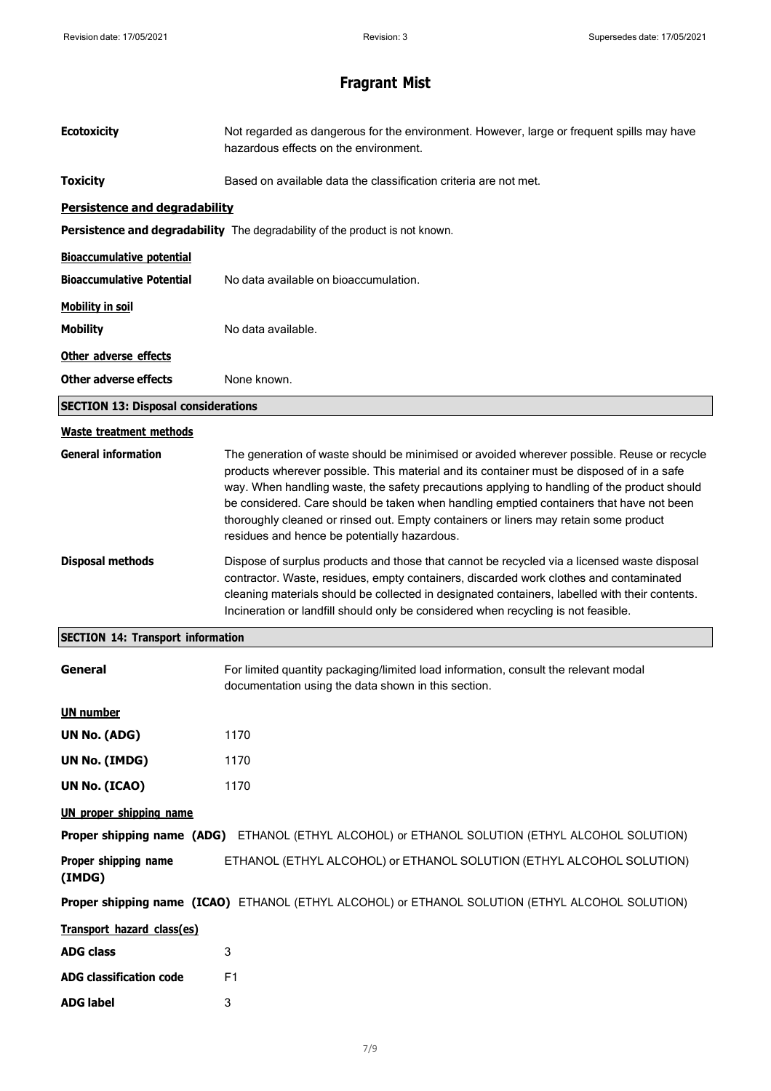| <b>Ecotoxicity</b>                         | Not regarded as dangerous for the environment. However, large or frequent spills may have<br>hazardous effects on the environment.                                                                                                                                                                                                                                                                                                                                                                                        |  |  |
|--------------------------------------------|---------------------------------------------------------------------------------------------------------------------------------------------------------------------------------------------------------------------------------------------------------------------------------------------------------------------------------------------------------------------------------------------------------------------------------------------------------------------------------------------------------------------------|--|--|
| <b>Toxicity</b>                            | Based on available data the classification criteria are not met.                                                                                                                                                                                                                                                                                                                                                                                                                                                          |  |  |
| <b>Persistence and degradability</b>       |                                                                                                                                                                                                                                                                                                                                                                                                                                                                                                                           |  |  |
|                                            | Persistence and degradability The degradability of the product is not known.                                                                                                                                                                                                                                                                                                                                                                                                                                              |  |  |
| <b>Bioaccumulative potential</b>           |                                                                                                                                                                                                                                                                                                                                                                                                                                                                                                                           |  |  |
| <b>Bioaccumulative Potential</b>           | No data available on bioaccumulation.                                                                                                                                                                                                                                                                                                                                                                                                                                                                                     |  |  |
| <b>Mobility in soil</b>                    |                                                                                                                                                                                                                                                                                                                                                                                                                                                                                                                           |  |  |
| <b>Mobility</b>                            | No data available.                                                                                                                                                                                                                                                                                                                                                                                                                                                                                                        |  |  |
| Other adverse effects                      |                                                                                                                                                                                                                                                                                                                                                                                                                                                                                                                           |  |  |
| Other adverse effects                      | None known.                                                                                                                                                                                                                                                                                                                                                                                                                                                                                                               |  |  |
| <b>SECTION 13: Disposal considerations</b> |                                                                                                                                                                                                                                                                                                                                                                                                                                                                                                                           |  |  |
| Waste treatment methods                    |                                                                                                                                                                                                                                                                                                                                                                                                                                                                                                                           |  |  |
| <b>General information</b>                 | The generation of waste should be minimised or avoided wherever possible. Reuse or recycle<br>products wherever possible. This material and its container must be disposed of in a safe<br>way. When handling waste, the safety precautions applying to handling of the product should<br>be considered. Care should be taken when handling emptied containers that have not been<br>thoroughly cleaned or rinsed out. Empty containers or liners may retain some product<br>residues and hence be potentially hazardous. |  |  |
| <b>Disposal methods</b>                    | Dispose of surplus products and those that cannot be recycled via a licensed waste disposal<br>contractor. Waste, residues, empty containers, discarded work clothes and contaminated<br>cleaning materials should be collected in designated containers, labelled with their contents.<br>Incineration or landfill should only be considered when recycling is not feasible.                                                                                                                                             |  |  |
| <b>SECTION 14: Transport information</b>   |                                                                                                                                                                                                                                                                                                                                                                                                                                                                                                                           |  |  |
| General                                    | For limited quantity packaging/limited load information, consult the relevant modal<br>documentation using the data shown in this section.                                                                                                                                                                                                                                                                                                                                                                                |  |  |
| <b>UN number</b>                           |                                                                                                                                                                                                                                                                                                                                                                                                                                                                                                                           |  |  |
| <b>UN No. (ADG)</b>                        | 1170                                                                                                                                                                                                                                                                                                                                                                                                                                                                                                                      |  |  |
| UN No. (IMDG)                              | 1170                                                                                                                                                                                                                                                                                                                                                                                                                                                                                                                      |  |  |
| UN No. (ICAO)                              | 1170                                                                                                                                                                                                                                                                                                                                                                                                                                                                                                                      |  |  |
| <b>UN proper shipping name</b>             |                                                                                                                                                                                                                                                                                                                                                                                                                                                                                                                           |  |  |
|                                            | Proper shipping name (ADG) ETHANOL (ETHYL ALCOHOL) or ETHANOL SOLUTION (ETHYL ALCOHOL SOLUTION)                                                                                                                                                                                                                                                                                                                                                                                                                           |  |  |
| Proper shipping name<br>(IMDG)             | ETHANOL (ETHYL ALCOHOL) or ETHANOL SOLUTION (ETHYL ALCOHOL SOLUTION)                                                                                                                                                                                                                                                                                                                                                                                                                                                      |  |  |
|                                            | Proper shipping name (ICAO) ETHANOL (ETHYL ALCOHOL) or ETHANOL SOLUTION (ETHYL ALCOHOL SOLUTION)                                                                                                                                                                                                                                                                                                                                                                                                                          |  |  |
| Transport hazard class(es)                 |                                                                                                                                                                                                                                                                                                                                                                                                                                                                                                                           |  |  |
| <b>ADG class</b>                           | 3                                                                                                                                                                                                                                                                                                                                                                                                                                                                                                                         |  |  |
| <b>ADG classification code</b>             | F1                                                                                                                                                                                                                                                                                                                                                                                                                                                                                                                        |  |  |
| <b>ADG label</b>                           | 3                                                                                                                                                                                                                                                                                                                                                                                                                                                                                                                         |  |  |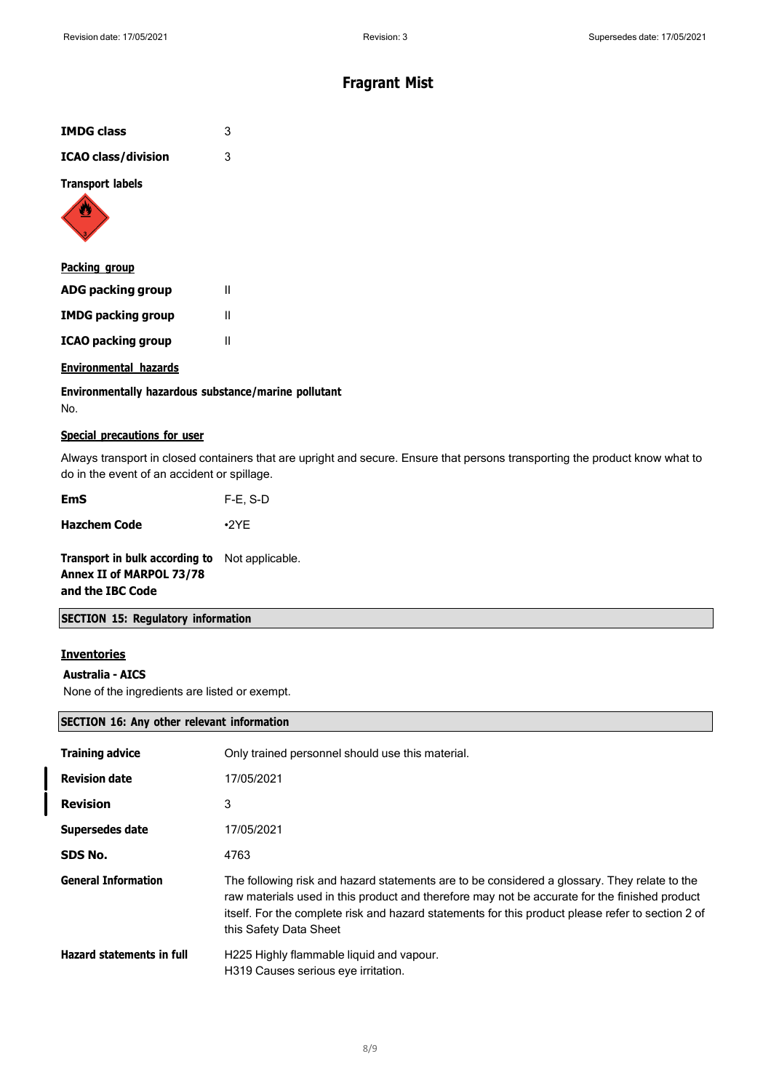| <b>IMDG class</b>          | 3 |
|----------------------------|---|
| <b>ICAO class/division</b> | 3 |
| <b>Transport labels</b>    |   |
| Dacking<br>Aroun           |   |

| <u>. wenning group</u>    |   |
|---------------------------|---|
| ADG packing group         | Ш |
| <b>IMDG packing group</b> | Ш |
| <b>ICAO packing group</b> | Ш |

### **Environmental hazards**

**Environmentally hazardous substance/marine pollutant** No.

### **Special precautions for user**

Always transport in closed containers that are upright and secure. Ensure that persons transporting the product know what to do in the event of an accident or spillage.

**Hazchem Code** •2YE

**Transport in bulk according to** Not applicable. **Annex II of MARPOL 73/78 and the IBC Code**

### **SECTION 15: Regulatory information**

### **Inventories**

### **Australia - AICS**

None of the ingredients are listed or exempt.

### **SECTION 16: Any other relevant information**

| <b>Training advice</b>           | Only trained personnel should use this material.                                                                                                                                                                                                                                                                             |
|----------------------------------|------------------------------------------------------------------------------------------------------------------------------------------------------------------------------------------------------------------------------------------------------------------------------------------------------------------------------|
| <b>Revision date</b>             | 17/05/2021                                                                                                                                                                                                                                                                                                                   |
| <b>Revision</b>                  | 3                                                                                                                                                                                                                                                                                                                            |
| Supersedes date                  | 17/05/2021                                                                                                                                                                                                                                                                                                                   |
| SDS No.                          | 4763                                                                                                                                                                                                                                                                                                                         |
| <b>General Information</b>       | The following risk and hazard statements are to be considered a glossary. They relate to the<br>raw materials used in this product and therefore may not be accurate for the finished product<br>itself. For the complete risk and hazard statements for this product please refer to section 2 of<br>this Safety Data Sheet |
| <b>Hazard statements in full</b> | H225 Highly flammable liquid and vapour.<br>H319 Causes serious eve irritation.                                                                                                                                                                                                                                              |